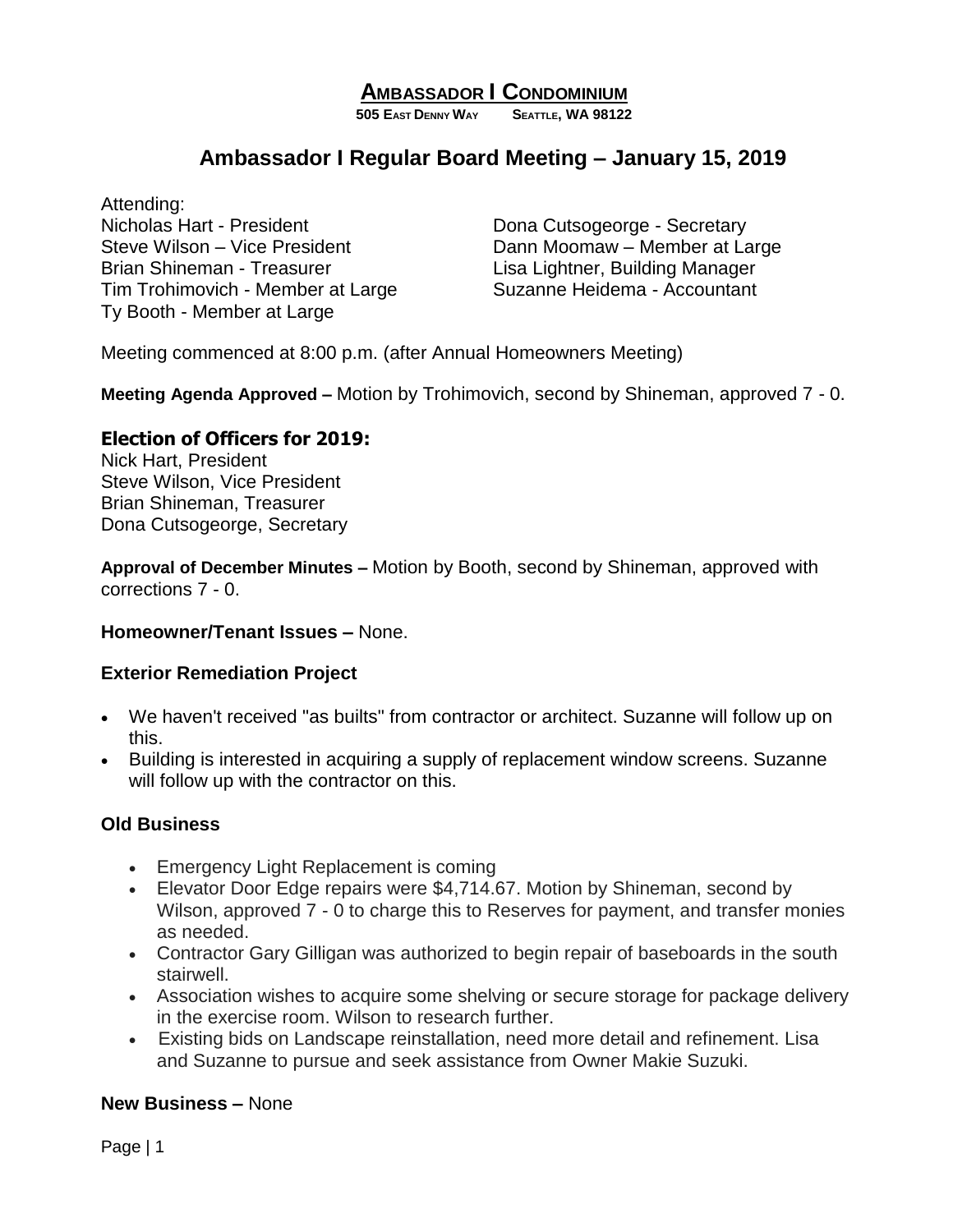# **AMBASSADOR I CONDOMINIUM**

**505 EAST DENNY WAY SEATTLE, WA 98122**

# **Ambassador I Regular Board Meeting – January 15, 2019**

Attending: Nicholas Hart - President Nicholas Hart - President Dona Cutsogeorge - Secretary Steve Wilson – Vice President Dann Moomaw – Member at Large Brian Shineman - Treasurer Lisa Lightner, Building Manager Tim Trohimovich - Member at Large Suzanne Heidema - Accountant Ty Booth - Member at Large

Meeting commenced at 8:00 p.m. (after Annual Homeowners Meeting)

**Meeting Agenda Approved –** Motion by Trohimovich, second by Shineman, approved 7 - 0.

### **Election of Officers for 2019:**

Nick Hart, President Steve Wilson, Vice President Brian Shineman, Treasurer Dona Cutsogeorge, Secretary

**Approval of December Minutes –** Motion by Booth, second by Shineman, approved with corrections 7 - 0.

#### **Homeowner/Tenant Issues –** None.

#### **Exterior Remediation Project**

- We haven't received "as builts" from contractor or architect. Suzanne will follow up on this.
- Building is interested in acquiring a supply of replacement window screens. Suzanne will follow up with the contractor on this.

#### **Old Business**

- Emergency Light Replacement is coming
- Elevator Door Edge repairs were \$4,714.67. Motion by Shineman, second by Wilson, approved 7 - 0 to charge this to Reserves for payment, and transfer monies as needed.
- Contractor Gary Gilligan was authorized to begin repair of baseboards in the south stairwell.
- Association wishes to acquire some shelving or secure storage for package delivery in the exercise room. Wilson to research further.
- Existing bids on Landscape reinstallation, need more detail and refinement. Lisa and Suzanne to pursue and seek assistance from Owner Makie Suzuki.

#### **New Business –** None

Page | 1